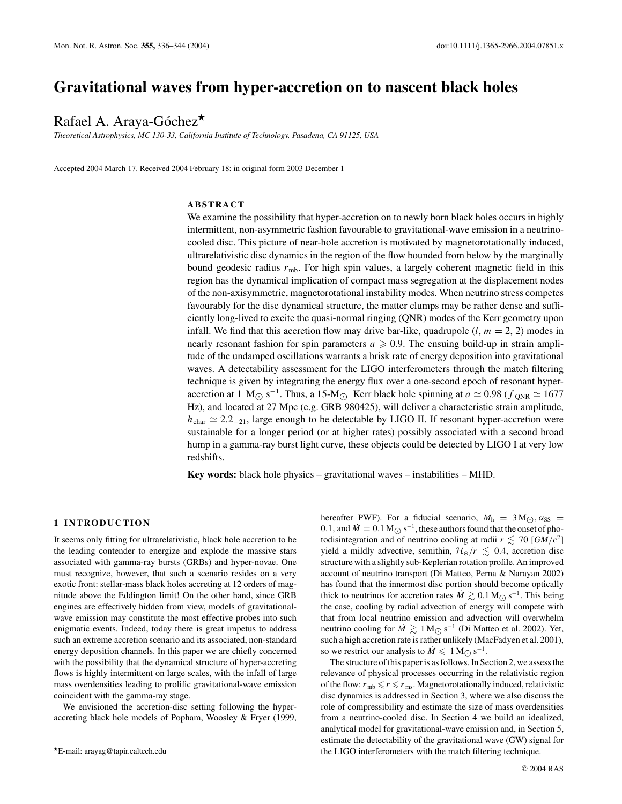# **Gravitational waves from hyper-accretion on to nascent black holes**

# Rafael A. Araya-Góchez $\star$

*Theoretical Astrophysics, MC 130-33, California Institute of Technology, Pasadena, CA 91125, USA*

Accepted 2004 March 17. Received 2004 February 18; in original form 2003 December 1

# **ABSTRACT**

We examine the possibility that hyper-accretion on to newly born black holes occurs in highly intermittent, non-asymmetric fashion favourable to gravitational-wave emission in a neutrinocooled disc. This picture of near-hole accretion is motivated by magnetorotationally induced, ultrarelativistic disc dynamics in the region of the flow bounded from below by the marginally bound geodesic radius *r*mb. For high spin values, a largely coherent magnetic field in this region has the dynamical implication of compact mass segregation at the displacement nodes of the non-axisymmetric, magnetorotational instability modes. When neutrino stress competes favourably for the disc dynamical structure, the matter clumps may be rather dense and sufficiently long-lived to excite the quasi-normal ringing (QNR) modes of the Kerr geometry upon infall. We find that this accretion flow may drive bar-like, quadrupole  $(l, m = 2, 2)$  modes in nearly resonant fashion for spin parameters  $a \geqslant 0.9$ . The ensuing build-up in strain amplitude of the undamped oscillations warrants a brisk rate of energy deposition into gravitational waves. A detectability assessment for the LIGO interferometers through the match filtering technique is given by integrating the energy flux over a one-second epoch of resonant hyperaccretion at 1 M<sub>O</sub> s<sup>−1</sup>. Thus, a 15-M<sub>O</sub> Kerr black hole spinning at  $a \approx 0.98$  ( $f_{\text{QNR}} \approx 1677$ ) Hz), and located at 27 Mpc (e.g. GRB 980425), will deliver a characteristic strain amplitude,  $h_{\text{char}} \simeq 2.2_{-21}$ , large enough to be detectable by LIGO II. If resonant hyper-accretion were sustainable for a longer period (or at higher rates) possibly associated with a second broad hump in a gamma-ray burst light curve, these objects could be detected by LIGO I at very low redshifts.

**Key words:** black hole physics – gravitational waves – instabilities – MHD.

#### **1 INTRODUCTION**

It seems only fitting for ultrarelativistic, black hole accretion to be the leading contender to energize and explode the massive stars associated with gamma-ray bursts (GRBs) and hyper-novae. One must recognize, however, that such a scenario resides on a very exotic front: stellar-mass black holes accreting at 12 orders of magnitude above the Eddington limit! On the other hand, since GRB engines are effectively hidden from view, models of gravitationalwave emission may constitute the most effective probes into such enigmatic events. Indeed, today there is great impetus to address such an extreme accretion scenario and its associated, non-standard energy deposition channels. In this paper we are chiefly concerned with the possibility that the dynamical structure of hyper-accreting flows is highly intermittent on large scales, with the infall of large mass overdensities leading to prolific gravitational-wave emission coincident with the gamma-ray stage.

We envisioned the accretion-disc setting following the hyperaccreting black hole models of Popham, Woosley & Fryer (1999, hereafter PWF). For a fiducial scenario,  $M_h = 3 M_{\odot}$ ,  $\alpha_{SS}$ 0.1, and  $\dot{M} = 0.1 M_{\odot} s^{-1}$ , these authors found that the onset of photodisintegration and of neutrino cooling at radii  $r \lesssim 70$  [*GM*/ $c^2$ ] yield a mildly advective, semithin,  $\mathcal{H}_{\Theta}/r \leq 0.4$ , accretion disc structure with a slightly sub-Keplerian rotation profile. An improved account of neutrino transport (Di Matteo, Perna & Narayan 2002) has found that the innermost disc portion should become optically thick to neutrinos for accretion rates  $\dot{M} \gtrsim 0.1 \,\mathrm{M_{\odot}\,s^{-1}}$ . This being the case, cooling by radial advection of energy will compete with that from local neutrino emission and advection will overwhelm neutrino cooling for  $\dot{M}$   $\gtrsim$  1 M<sub>○</sub> s<sup>-1</sup> (Di Matteo et al. 2002). Yet, such a high accretion rate is rather unlikely (MacFadyen et al. 2001), so we restrict our analysis to  $\dot{M} \leq 1 M_{\odot} s^{-1}$ .

The structure of this paper is as follows. In Section 2, we assess the relevance of physical processes occurring in the relativistic region of the flow:  $r_{\rm mb} \le r \le r_{\rm ms}$ . Magnetorotationally induced, relativistic disc dynamics is addressed in Section 3, where we also discuss the role of compressibility and estimate the size of mass overdensities from a neutrino-cooled disc. In Section 4 we build an idealized, analytical model for gravitational-wave emission and, in Section 5, estimate the detectability of the gravitational wave (GW) signal for the LIGO interferometers with the match filtering technique.

E-mail: arayag@tapir.caltech.edu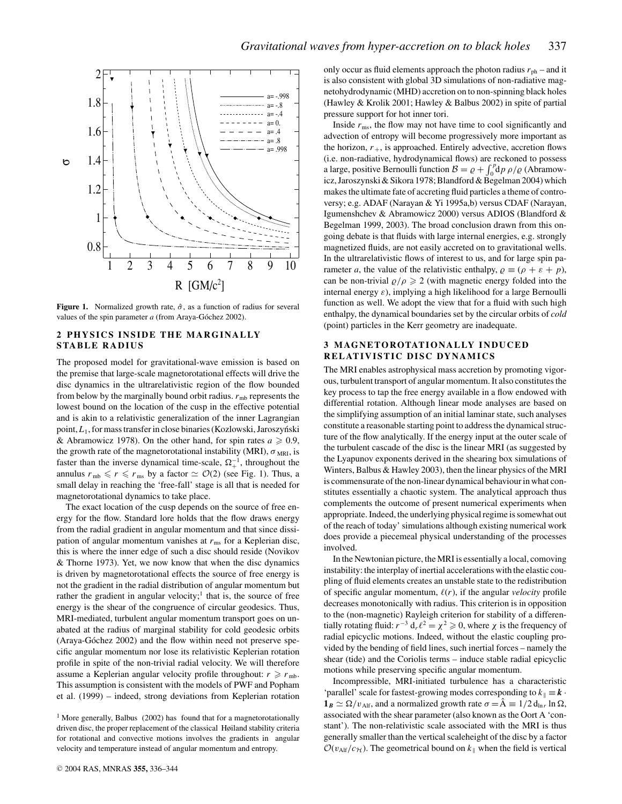

**Figure 1.** Normalized growth rate,  $\hat{\sigma}$ , as a function of radius for several values of the spin parameter *a* (from Araya-Góchez 2002).

# **2 PHYSICS INSIDE THE MARGINALLY STABLE RADIUS**

The proposed model for gravitational-wave emission is based on the premise that large-scale magnetorotational effects will drive the disc dynamics in the ultrarelativistic region of the flow bounded from below by the marginally bound orbit radius.  $r_{\rm mb}$  represents the lowest bound on the location of the cusp in the effective potential and is akin to a relativistic generalization of the inner Lagrangian point, *L*<sub>1</sub>, for mass transfer in close binaries (Kozlowski, Jaroszyński & Abramowicz 1978). On the other hand, for spin rates  $a \ge 0.9$ , the growth rate of the magnetorotational instability (MRI),  $\sigma_{MRI}$ , is faster than the inverse dynamical time-scale,  $\Omega_{+}^{-1}$ , throughout the annulus  $r_{\text{mb}} \leq r \leq r_{\text{ms}}$  by a factor  $\simeq \mathcal{O}(2)$  (see Fig. 1). Thus, a small delay in reaching the 'free-fall' stage is all that is needed for magnetorotational dynamics to take place.

The exact location of the cusp depends on the source of free energy for the flow. Standard lore holds that the flow draws energy from the radial gradient in angular momentum and that since dissipation of angular momentum vanishes at  $r_{\rm ms}$  for a Keplerian disc, this is where the inner edge of such a disc should reside (Novikov & Thorne 1973). Yet, we now know that when the disc dynamics is driven by magnetorotational effects the source of free energy is not the gradient in the radial distribution of angular momentum but rather the gradient in angular velocity;<sup>1</sup> that is, the source of free energy is the shear of the congruence of circular geodesics. Thus, MRI-mediated, turbulent angular momentum transport goes on unabated at the radius of marginal stability for cold geodesic orbits (Araya-Góchez 2002) and the flow within need not preserve specific angular momentum nor lose its relativistic Keplerian rotation profile in spite of the non-trivial radial velocity. We will therefore assume a Keplerian angular velocity profile throughout:  $r \ge r_{\text{mb}}$ . This assumption is consistent with the models of PWF and Popham et al. (1999) – indeed, strong deviations from Keplerian rotation only occur as fluid elements approach the photon radius  $r_{\rm ph}$  – and it is also consistent with global 3D simulations of non-radiative magnetohydrodynamic (MHD) accretion on to non-spinning black holes (Hawley & Krolik 2001; Hawley & Balbus 2002) in spite of partial pressure support for hot inner tori.

Inside  $r_{\text{ms}}$ , the flow may not have time to cool significantly and advection of entropy will become progressively more important as the horizon,  $r_{+}$ , is approached. Entirely advective, accretion flows (i.e. non-radiative, hydrodynamical flows) are reckoned to possess a large, positive Bernoulli function  $B = \rho + \int_0^p d\rho \, \rho / \rho$  (Abramowicz, Jaroszynski & Sikora 1978; Blandford & Begelman 2004) which makes the ultimate fate of accreting fluid particles a theme of controversy; e.g. ADAF (Narayan & Yi 1995a,b) versus CDAF (Narayan, Igumenshchev & Abramowicz 2000) versus ADIOS (Blandford & Begelman 1999, 2003). The broad conclusion drawn from this ongoing debate is that fluids with large internal energies, e.g. strongly magnetized fluids, are not easily accreted on to gravitational wells. In the ultrarelativistic flows of interest to us, and for large spin parameter *a*, the value of the relativistic enthalpy,  $\rho \equiv (\rho + \varepsilon + p)$ , can be non-trivial  $\rho/\rho \geq 2$  (with magnetic energy folded into the internal energy  $\varepsilon$ ), implying a high likelihood for a large Bernoulli function as well. We adopt the view that for a fluid with such high enthalpy, the dynamical boundaries set by the circular orbits of *cold* (point) particles in the Kerr geometry are inadequate.

# **3 MAGNETOROTATIONALLY INDUCED RELATIVISTIC DISC DYNAMICS**

The MRI enables astrophysical mass accretion by promoting vigorous, turbulent transport of angular momentum. It also constitutes the key process to tap the free energy available in a flow endowed with differential rotation. Although linear mode analyses are based on the simplifying assumption of an initial laminar state, such analyses constitute a reasonable starting point to address the dynamical structure of the flow analytically. If the energy input at the outer scale of the turbulent cascade of the disc is the linear MRI (as suggested by the Lyapunov exponents derived in the shearing box simulations of Winters, Balbus & Hawley 2003), then the linear physics of the MRI is commensurate of the non-linear dynamical behaviour in what constitutes essentially a chaotic system. The analytical approach thus complements the outcome of present numerical experiments when appropriate. Indeed, the underlying physical regime is somewhat out of the reach of today' simulations although existing numerical work does provide a piecemeal physical understanding of the processes involved.

In the Newtonian picture, the MRI is essentially a local, comoving instability: the interplay of inertial accelerations with the elastic coupling of fluid elements creates an unstable state to the redistribution of specific angular momentum,  $\ell(r)$ , if the angular *velocity* profile decreases monotonically with radius. This criterion is in opposition to the (non-magnetic) Rayleigh criterion for stability of a differentially rotating fluid:  $r^{-3}$  d<sub>r</sub>  $\ell^2 = \chi^2 \geq 0$ , where  $\chi$  is the frequency of radial epicyclic motions. Indeed, without the elastic coupling provided by the bending of field lines, such inertial forces – namely the shear (tide) and the Coriolis terms – induce stable radial epicyclic motions while preserving specific angular momentum.

Incompressible, MRI-initiated turbulence has a characteristic 'parallel' scale for fastest-growing modes corresponding to  $k_{\parallel} \equiv \mathbf{k} \cdot \mathbf{k}$  $\mathbf{1}_B \simeq \Omega/v_{\text{Alf}}$ , and a normalized growth rate  $\sigma = \hat{A} \equiv 1/2 d_{\text{ln }r} \ln \Omega$ , associated with the shear parameter (also known as the Oort A 'constant'). The non-relativistic scale associated with the MRI is thus generally smaller than the vertical scaleheight of the disc by a factor  $\mathcal{O}(v_{\text{Alf}}/c_{\mathcal{H}})$ . The geometrical bound on  $k_{\parallel}$  when the field is vertical

<sup>&</sup>lt;sup>1</sup> More generally, Balbus (2002) has found that for a magnetorotationally driven disc, the proper replacement of the classical Høiland stability criteria for rotational and convective motions involves the gradients in angular velocity and temperature instead of angular momentum and entropy.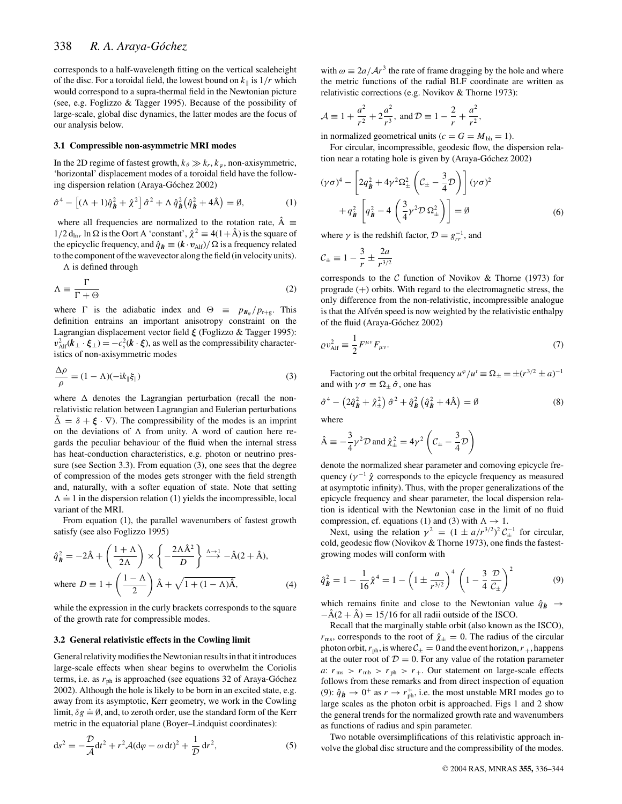corresponds to a half-wavelength fitting on the vertical scaleheight of the disc. For a toroidal field, the lowest bound on  $k_{\parallel}$  is  $1/r$  which would correspond to a supra-thermal field in the Newtonian picture (see, e.g. Foglizzo & Tagger 1995). Because of the possibility of large-scale, global disc dynamics, the latter modes are the focus of our analysis below.

#### **3.1 Compressible non-asymmetric MRI modes**

In the 2D regime of fastest growth,  $k_{\theta} \gg k_r$ ,  $k_{\varphi}$ , non-axisymmetric, 'horizontal' displacement modes of a toroidal field have the following dispersion relation (Araya-Góchez 2002)

$$
\hat{\sigma}^4 - \left[ (\Lambda + 1)\hat{q}_{\hat{B}}^2 + \hat{\chi}^2 \right] \hat{\sigma}^2 + \Lambda \,\hat{q}_{\hat{B}}^2 \left( \hat{q}_{\hat{B}}^2 + 4\hat{A} \right) = \emptyset, \tag{1}
$$

where all frequencies are normalized to the rotation rate,  $\hat{A}$  $1/2$  d<sub>ln *r*</sub> ln  $\Omega$  is the Oort A 'constant',  $\hat{\chi}^2 \equiv 4(1+\hat{A})$  is the square of the epicyclic frequency, and  $\hat{q}_B \equiv (k \cdot v_{\text{Alf}})/\Omega$  is a frequency related to the component of the wavevector along the field (in velocity units).

 $\Lambda$  is defined through

$$
\Lambda \equiv \frac{\Gamma}{\Gamma + \Theta} \tag{2}
$$

where  $\Gamma$  is the adiabatic index and  $\Theta \equiv p_{B_{\varphi}}/p_{r+g}$ . This definition entrains an important anisotropy constraint on the Lagrangian displacement vector field *ξ* (Foglizzo & Tagger 1995):  $v_{\text{Alf}}^2(\boldsymbol{k}_\perp \cdot \boldsymbol{\xi}_\perp) = -c_s^2(\boldsymbol{k} \cdot \boldsymbol{\xi})$ , as well as the compressibility characteristics of non-axisymmetric modes

$$
\frac{\Delta \rho}{\rho} = (1 - \Lambda)(-ik_{\parallel} \xi_{\parallel})
$$
\n(3)

where  $\Delta$  denotes the Lagrangian perturbation (recall the nonrelativistic relation between Lagrangian and Eulerian perturbations  $\tilde{\Delta} = \delta + \xi \cdot \nabla$ . The compressibility of the modes is an imprint on the deviations of  $\Lambda$  from unity. A word of caution here regards the peculiar behaviour of the fluid when the internal stress has heat-conduction characteristics, e.g. photon or neutrino pressure (see Section 3.3). From equation (3), one sees that the degree of compression of the modes gets stronger with the field strength and, naturally, with a softer equation of state. Note that setting  $\Lambda = 1$  in the dispersion relation (1) yields the incompressible, local variant of the MRI.

From equation (1), the parallel wavenumbers of fastest growth satisfy (see also Foglizzo 1995)

$$
\hat{q}_{\hat{B}}^2 = -2\hat{A} + \left(\frac{1+\Lambda}{2\Lambda}\right) \times \left\{-\frac{2\Lambda\hat{A}^2}{D}\right\} \stackrel{\Lambda \to 1}{\longrightarrow} -\hat{A}(2+\hat{A}),
$$
  
where  $D \equiv 1 + \left(\frac{1-\Lambda}{2}\right)\hat{A} + \sqrt{1 + (1-\Lambda)\hat{A}},$  (4)

while the expression in the curly brackets corresponds to the square of the growth rate for compressible modes.

#### **3.2 General relativistic effects in the Cowling limit**

General relativity modifies the Newtonian results in that it introduces large-scale effects when shear begins to overwhelm the Coriolis terms, i.e. as  $r_{ph}$  is approached (see equations 32 of Araya-Góchez 2002). Although the hole is likely to be born in an excited state, e.g. away from its asymptotic, Kerr geometry, we work in the Cowling limit,  $\delta g = \emptyset$ , and, to zeroth order, use the standard form of the Kerr metric in the equatorial plane (Boyer–Lindquist coordinates):

$$
ds2 = -\frac{\mathcal{D}}{\mathcal{A}}dt2 + r2\mathcal{A}(d\varphi - \omega dt)2 + \frac{1}{\mathcal{D}}dr2,
$$
 (5)

with  $\omega = 2a/Ar^3$  the rate of frame dragging by the hole and where the metric functions of the radial BLF coordinate are written as relativistic corrections (e.g. Novikov & Thorne 1973):

$$
\mathcal{A} \equiv 1 + \frac{a^2}{r^2} + 2\frac{a^2}{r^3}
$$
, and  $\mathcal{D} \equiv 1 - \frac{2}{r} + \frac{a^2}{r^2}$ ,

in normalized geometrical units ( $c = G = M_{bh} = 1$ ).

For circular, incompressible, geodesic flow, the dispersion relation near a rotating hole is given by (Araya-Góchez 2002)

$$
(\gamma \sigma)^4 - \left[2q_B^2 + 4\gamma^2 \Omega_{\pm}^2 \left(\mathcal{C}_{\pm} - \frac{3}{4}\mathcal{D}\right)\right] (\gamma \sigma)^2
$$

$$
+ q_B^2 \left[q_B^2 - 4\left(\frac{3}{4}\gamma^2 \mathcal{D} \Omega_{\pm}^2\right)\right] = \emptyset
$$
(6)

where  $\gamma$  is the redshift factor,  $\mathcal{D} = g_{rr}^{-1}$ , and

$$
\mathcal{C}_{\pm} \equiv 1 - \frac{3}{r} \pm \frac{2a}{r^{3/2}}
$$

corresponds to the  $C$  function of Novikov & Thorne (1973) for prograde  $(+)$  orbits. With regard to the electromagnetic stress, the only difference from the non-relativistic, incompressible analogue is that the Alfvén speed is now weighted by the relativistic enthalpy of the fluid (Araya-Góchez 2002)

$$
\varrho v_{\text{Alf}}^2 \equiv \frac{1}{2} F^{\mu \nu} F_{\mu \nu}.
$$
\n(7)

Factoring out the orbital frequency  $u^{\varphi}/u^t \equiv \Omega_{\pm} = \pm (r^{3/2} \pm a)^{-1}$ and with  $\gamma \sigma \equiv \Omega_{\pm} \hat{\sigma}$ , one has

$$
\hat{\sigma}^4 - \left(2\hat{q}_{\tilde{B}}^2 + \hat{\chi}_{\pm}^2\right)\hat{\sigma}^2 + \hat{q}_{\tilde{B}}^2\left(\hat{q}_{\tilde{B}}^2 + 4\hat{A}\right) = \emptyset \tag{8}
$$

where

$$
\hat{A} \equiv -\frac{3}{4}\gamma^2 \mathcal{D} \text{ and } \hat{\chi}^2_{\pm} = 4\gamma^2 \left(\mathcal{C}_{\pm} - \frac{3}{4}\mathcal{D}\right)
$$

denote the normalized shear parameter and comoving epicycle frequency ( $\gamma^{-1} \hat{\chi}$  corresponds to the epicycle frequency as measured at asymptotic infinity). Thus, with the proper generalizations of the epicycle frequency and shear parameter, the local dispersion relation is identical with the Newtonian case in the limit of no fluid compression, cf. equations (1) and (3) with  $\Lambda \to 1$ .

Next, using the relation  $\gamma^2 = (1 \pm a/r^{3/2})^2 C_{\pm}^{-1}$  for circular, cold, geodesic flow (Novikov & Thorne 1973), one finds the fastestgrowing modes will conform with

$$
\hat{q}_{\hat{B}}^2 = 1 - \frac{1}{16}\hat{\chi}^4 = 1 - \left(1 \pm \frac{a}{r^{3/2}}\right)^4 \left(1 - \frac{3}{4}\frac{\mathcal{D}}{\mathcal{C}_\pm}\right)^2 \tag{9}
$$

which remains finite and close to the Newtonian value  $\hat{q}_B \rightarrow$  $-\hat{A}(2 + \hat{A}) = 15/16$  for all radii outside of the ISCO.

Recall that the marginally stable orbit (also known as the ISCO),  $r_{\text{ms}}$ , corresponds to the root of  $\hat{\chi}_{\pm} = 0$ . The radius of the circular photon orbit,  $r_{ph}$ , is where  $C_{\pm} = 0$  and the event horizon,  $r_{+}$ , happens at the outer root of  $D = 0$ . For any value of the rotation parameter *a*:  $r_{\text{ms}} > r_{\text{mb}} > r_{\text{ph}} > r_{+}$ . Our statement on large-scale effects follows from these remarks and from direct inspection of equation (9):  $\hat{q}_B \rightarrow 0^+$  as  $r \rightarrow r_{ph}^+$ , i.e. the most unstable MRI modes go to large scales as the photon orbit is approached. Figs 1 and 2 show the general trends for the normalized growth rate and wavenumbers as functions of radius and spin parameter.

Two notable oversimplifications of this relativistic approach involve the global disc structure and the compressibility of the modes.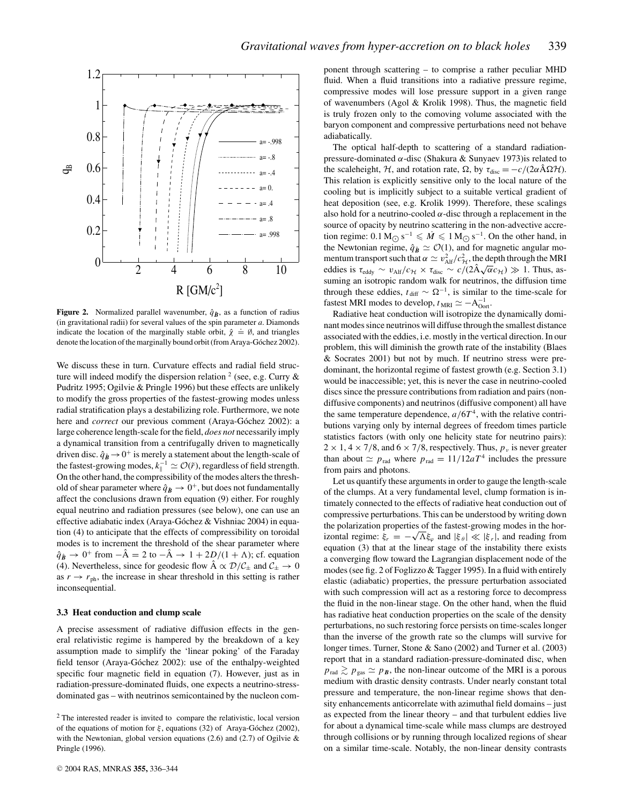

**Figure 2.** Normalized parallel wavenumber,  $\hat{q}$ <sup> $\hat{B}$ </sup> , as a function of radius (in gravitational radii) for several values of the spin parameter *a*. Diamonds indicate the location of the marginally stable orbit,  $\hat{\chi} = \emptyset$ , and triangles denote the location of the marginally bound orbit (from Araya-Góchez 2002).

We discuss these in turn. Curvature effects and radial field structure will indeed modify the dispersion relation  $2$  (see, e.g. Curry  $\&$ Pudritz 1995; Ogilvie & Pringle 1996) but these effects are unlikely to modify the gross properties of the fastest-growing modes unless radial stratification plays a destabilizing role. Furthermore, we note here and *correct* our previous comment (Araya-Góchez 2002): a large coherence length-scale for the field, *does not* necessarily imply a dynamical transition from a centrifugally driven to magnetically driven disc.  $\hat{q}_B \rightarrow 0^+$  is merely a statement about the length-scale of the fastest-growing modes,  $k_{\parallel}^{-1} \simeq \mathcal{O}(\tilde{r})$ , regardless of field strength. On the other hand, the compressibility of the modes alters the threshold of shear parameter where  $\hat{q}_B \rightarrow 0^+$ , but does not fundamentally affect the conclusions drawn from equation (9) either. For roughly equal neutrino and radiation pressures (see below), one can use an effective adiabatic index (Araya-Góchez & Vishniac 2004) in equation (4) to anticipate that the effects of compressibility on toroidal modes is to increment the threshold of the shear parameter where  $\hat{q}_B \rightarrow 0^+$  from  $-\hat{A} = 2$  to  $-\hat{A} \rightarrow 1 + 2D/(1 + \Lambda)$ ; cf. equation (4). Nevertheless, since for geodesic flow  $\hat{A} \propto \mathcal{D}/\mathcal{C}_{\pm}$  and  $\mathcal{C}_{\pm} \rightarrow 0$ as  $r \rightarrow r_{\text{ph}}$ , the increase in shear threshold in this setting is rather inconsequential.

#### **3.3 Heat conduction and clump scale**

A precise assessment of radiative diffusion effects in the general relativistic regime is hampered by the breakdown of a key assumption made to simplify the 'linear poking' of the Faraday field tensor (Araya-Góchez 2002): use of the enthalpy-weighted specific four magnetic field in equation (7). However, just as in radiation-pressure-dominated fluids, one expects a neutrino-stressdominated gas – with neutrinos semicontained by the nucleon component through scattering – to comprise a rather peculiar MHD fluid. When a fluid transitions into a radiative pressure regime, compressive modes will lose pressure support in a given range of wavenumbers (Agol & Krolik 1998). Thus, the magnetic field is truly frozen only to the comoving volume associated with the baryon component and compressive perturbations need not behave adiabatically.

The optical half-depth to scattering of a standard radiationpressure-dominated  $\alpha$ -disc (Shakura & Sunyaev 1973) is related to the scaleheight, H, and rotation rate,  $\Omega$ , by  $\tau_{\text{disc}} = -c/(2\alpha \hat{A} \Omega H)$ . This relation is explicitly sensitive only to the local nature of the cooling but is implicitly subject to a suitable vertical gradient of heat deposition (see, e.g. Krolik 1999). Therefore, these scalings also hold for a neutrino-cooled  $\alpha$ -disc through a replacement in the source of opacity by neutrino scattering in the non-advective accretion regime:  $0.1 M_{\odot} s^{-1} \leq M \leq 1 M_{\odot} s^{-1}$ . On the other hand, in the Newtonian regime,  $\hat{q}_B \simeq \mathcal{O}(1)$ , and for magnetic angular momentum transport such that  $\alpha \simeq v_{\text{Alf}}^2/c_{\text{H}}^2$ , the depth through the MRI eddies is  $\tau_{\text{eddy}} \sim v_{\text{Alf}}/c_{\mathcal{H}} \times \tau_{\text{disc}} \sim c/(2\text{A}\sqrt{\alpha}c_{\mathcal{H}}) \gg 1$ . Thus, assuming an isotropic random walk for neutrinos, the diffusion time through these eddies,  $t_{\text{diff}} \sim \Omega^{-1}$ , is similar to the time-scale for fastest MRI modes to develop,  $t_{MRI} \simeq -A_{Oort}^{-1}$ .

Radiative heat conduction will isotropize the dynamically dominant modes since neutrinos will diffuse through the smallest distance associated with the eddies, i.e. mostly in the vertical direction. In our problem, this will diminish the growth rate of the instability (Blaes & Socrates 2001) but not by much. If neutrino stress were predominant, the horizontal regime of fastest growth (e.g. Section 3.1) would be inaccessible; yet, this is never the case in neutrino-cooled discs since the pressure contributions from radiation and pairs (nondiffusive components) and neutrinos (diffusive component) all have the same temperature dependence,  $a/6T<sup>4</sup>$ , with the relative contributions varying only by internal degrees of freedom times particle statistics factors (with only one helicity state for neutrino pairs):  $2 \times 1$ ,  $4 \times 7/8$ , and  $6 \times 7/8$ , respectively. Thus,  $p_\nu$  is never greater than about  $\simeq p_{\text{rad}}$  where  $p_{\text{rad}} = 11/12aT^4$  includes the pressure from pairs and photons.

Let us quantify these arguments in order to gauge the length-scale of the clumps. At a very fundamental level, clump formation is intimately connected to the effects of radiative heat conduction out of compressive perturbations. This can be understood by writing down the polarization properties of the fastest-growing modes in the horizontal regime:  $\xi_r = -\sqrt{\Lambda \xi_\varphi}$  and  $|\xi_\theta| \ll |\xi_r|$ , and reading from equation (3) that at the linear stage of the instability there exists a converging flow toward the Lagrangian displacement node of the modes (see fig. 2 of Foglizzo & Tagger 1995). In a fluid with entirely elastic (adiabatic) properties, the pressure perturbation associated with such compression will act as a restoring force to decompress the fluid in the non-linear stage. On the other hand, when the fluid has radiative heat conduction properties on the scale of the density perturbations, no such restoring force persists on time-scales longer than the inverse of the growth rate so the clumps will survive for longer times. Turner, Stone & Sano (2002) and Turner et al. (2003) report that in a standard radiation-pressure-dominated disc, when  $p_{\text{rad}} \gtrsim p_{\text{gas}} \simeq p_B$ , the non-linear outcome of the MRI is a porous medium with drastic density contrasts. Under nearly constant total pressure and temperature, the non-linear regime shows that density enhancements anticorrelate with azimuthal field domains – just as expected from the linear theory – and that turbulent eddies live for about a dynamical time-scale while mass clumps are destroyed through collisions or by running through localized regions of shear on a similar time-scale. Notably, the non-linear density contrasts

<sup>2</sup> The interested reader is invited to compare the relativistic, local version of the equations of motion for  $\xi$ , equations (32) of Araya-Góchez (2002), with the Newtonian, global version equations  $(2.6)$  and  $(2.7)$  of Ogilvie & Pringle (1996).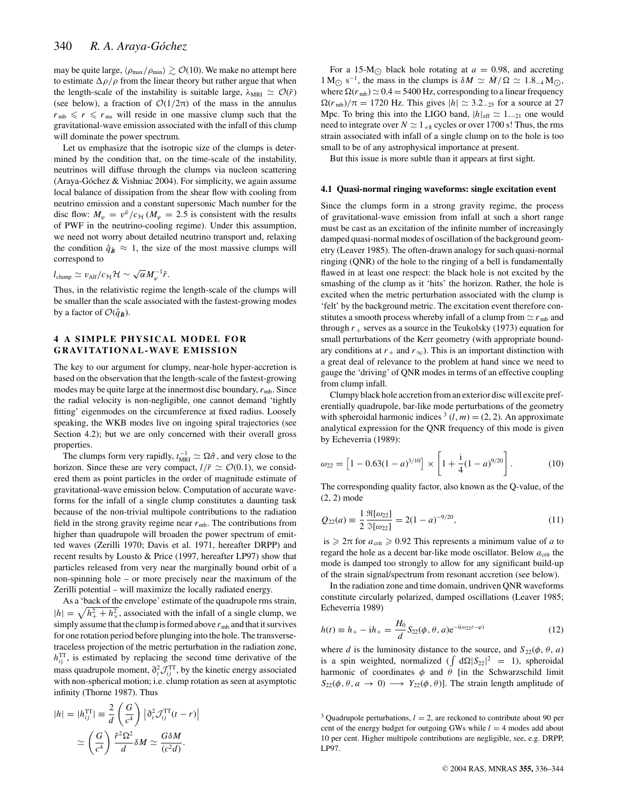may be quite large,  $\langle \rho_{\rm max}/\rho_{\rm min} \rangle \gtrsim \mathcal{O}(10)$ . We make no attempt here to estimate  $\Delta \rho / \rho$  from the linear theory but rather argue that when the length-scale of the instability is suitable large,  $\lambda_{MRI} \simeq \mathcal{O}(\tilde{r})$ (see below), a fraction of  $O(1/2\pi)$  of the mass in the annulus  $r_{\rm mb} \le r \le r_{\rm ms}$  will reside in one massive clump such that the gravitational-wave emission associated with the infall of this clump will dominate the power spectrum.

Let us emphasize that the isotropic size of the clumps is determined by the condition that, on the time-scale of the instability, neutrinos will diffuse through the clumps via nucleon scattering (Araya-Góchez & Vishniac 2004). For simplicity, we again assume local balance of dissipation from the shear flow with cooling from neutrino emission and a constant supersonic Mach number for the disc flow:  $M_{\varphi} = v^{\tilde{\varphi}}/c_{\mathcal{H}} (M_{\varphi} = 2.5$  is consistent with the results of PWF in the neutrino-cooling regime). Under this assumption, we need not worry about detailed neutrino transport and, relaxing the condition  $\hat{q}_B \approx 1$ , the size of the most massive clumps will correspond to

$$
l_{\rm clump}\simeq v_{\rm Alf}/c_{\cal H}{\cal H}\sim \sqrt{\alpha}M_\varphi^{-1}\tilde{r}.
$$

Thus, in the relativistic regime the length-scale of the clumps will be smaller than the scale associated with the fastest-growing modes by a factor of  $\mathcal{O}(\hat{q}_B)$ .

# **4 A SIMPLE PHYSICAL MODEL FOR GRAVITATIONAL-WAVE EMISSION**

The key to our argument for clumpy, near-hole hyper-accretion is based on the observation that the length-scale of the fastest-growing modes may be quite large at the innermost disc boundary,  $r_{\rm mb}$ . Since the radial velocity is non-negligible, one cannot demand 'tightly fitting' eigenmodes on the circumference at fixed radius. Loosely speaking, the WKB modes live on ingoing spiral trajectories (see Section 4.2); but we are only concerned with their overall gross properties.

The clumps form very rapidly,  $t_{\text{MRI}}^{-1} \simeq \Omega \hat{\sigma}$ , and very close to the horizon. Since these are very compact,  $l/\tilde{r} \simeq \mathcal{O}(0.1)$ , we considered them as point particles in the order of magnitude estimate of gravitational-wave emission below. Computation of accurate waveforms for the infall of a single clump constitutes a daunting task because of the non-trivial multipole contributions to the radiation field in the strong gravity regime near  $r_{mb}$ . The contributions from higher than quadrupole will broaden the power spectrum of emitted waves (Zerilli 1970; Davis et al. 1971, hereafter DRPP) and recent results by Lousto & Price (1997, hereafter LP97) show that particles released from very near the marginally bound orbit of a non-spinning hole – or more precisely near the maximum of the Zerilli potential – will maximize the locally radiated energy.

As a 'back of the envelope' estimate of the quadrupole rms strain,  $|h| = \sqrt{h_+^2 + h_{\times}^2}$ , associated with the infall of a single clump, we simply assume that the clump is formed above  $r_{\rm mb}$  and that it survives for one rotation period before plunging into the hole. The transversetraceless projection of the metric perturbation in the radiation zone,  $h_{ij}^{\text{TT}}$ , is estimated by replacing the second time derivative of the mass quadrupole moment,  $\partial_t^2 \mathcal{J}_{ij}^{\text{TT}}$ , by the kinetic energy associated with non-spherical motion; i.e. clump rotation as seen at asymptotic infinity (Thorne 1987). Thus

$$
|h| = |h_{ij}^{\text{TT}}| \equiv \frac{2}{d} \left( \frac{G}{c^4} \right) \left| \partial_t^2 \mathcal{J}_{ij}^{\text{TT}}(t - r) \right|
$$

$$
\simeq \left( \frac{G}{c^4} \right) \frac{\tilde{r}^2 \Omega^2}{d} \delta M \simeq \frac{G \delta M}{(c^2 d)}.
$$

For a 15-M<sub> $\odot$ </sub> black hole rotating at  $a = 0.98$ , and accreting  $1 \text{ M}_{\odot} \text{ s}^{-1}$ , the mass in the clumps is  $\delta M \simeq M/\Omega \simeq 1.8_{-4} \text{ M}_{\odot}$ , where  $\Omega(r_{\rm mb}) \simeq 0.4 = 5400$  Hz, corresponding to a linear frequency  $\Omega(r_{\rm mb})/\pi = 1720$  Hz. This gives  $|h| \approx 3.2_{-25}$  for a source at 27 Mpc. To bring this into the LIGO band,  $|h|_{eff} \simeq 1_{-21}$  one would need to integrate over  $N \simeq 1_{+8}$  cycles or over 1700 s! Thus, the rms strain associated with infall of a single clump on to the hole is too small to be of any astrophysical importance at present.

But this issue is more subtle than it appears at first sight.

#### **4.1 Quasi-normal ringing waveforms: single excitation event**

Since the clumps form in a strong gravity regime, the process of gravitational-wave emission from infall at such a short range must be cast as an excitation of the infinite number of increasingly damped quasi-normal modes of oscillation of the background geometry (Leaver 1985). The often-drawn analogy for such quasi-normal ringing (QNR) of the hole to the ringing of a bell is fundamentally flawed in at least one respect: the black hole is not excited by the smashing of the clump as it 'hits' the horizon. Rather, the hole is excited when the metric perturbation associated with the clump is 'felt' by the background metric. The excitation event therefore constitutes a smooth process whereby infall of a clump from  $\simeq r_{\rm mb}$  and through  $r_{+}$  serves as a source in the Teukolsky (1973) equation for small perturbations of the Kerr geometry (with appropriate boundary conditions at  $r_+$  and  $r_\infty$ ). This is an important distinction with a great deal of relevance to the problem at hand since we need to gauge the 'driving' of QNR modes in terms of an effective coupling from clump infall.

Clumpy black hole accretion from an exterior disc will excite preferentially quadrupole, bar-like mode perturbations of the geometry with spheroidal harmonic indices  $(1, m) = (2, 2)$ . An approximate analytical expression for the QNR frequency of this mode is given by Echeverria (1989):

$$
\omega_{22} = \left[1 - 0.63(1 - a)^{3/10}\right] \times \left[1 + \frac{1}{4}(1 - a)^{9/20}\right].
$$
 (10)

The corresponding quality factor, also known as the Q-value, of the (2, 2) mode

$$
Q_{22}(a) = \frac{1}{2} \frac{\Re[\omega_{22}]}{\Im[\omega_{22}]} = 2(1-a)^{-9/20},\tag{11}
$$

is  $\geq 2\pi$  for  $a_{\text{crit}} \geq 0.92$  This represents a minimum value of *a* to regard the hole as a decent bar-like mode oscillator. Below  $a_{\text{crit}}$  the mode is damped too strongly to allow for any significant build-up of the strain signal/spectrum from resonant accretion (see below).

In the radiation zone and time domain, undriven QNR waveforms constitute circularly polarized, damped oscillations (Leaver 1985; Echeverria 1989)

$$
h(t) \equiv h_{+} - ih_{\times} = \frac{H_0}{d} S_{22}(\phi, \theta, a) e^{-i(\omega_{22}t - \varphi)}
$$
(12)

where *d* is the luminosity distance to the source, and  $S_{22}(\phi, \theta, a)$ is a spin weighted, normalized  $(\int d\Omega |S_{22}|^2 = 1)$ , spheroidal harmonic of coordinates  $\phi$  and  $\theta$  [in the Schwarzschild limit  $S_{22}(\phi, \theta, a \rightarrow 0) \longrightarrow Y_{22}(\phi, \theta)$ . The strain length amplitude of

<sup>&</sup>lt;sup>3</sup> Quadrupole perturbations,  $l = 2$ , are reckoned to contribute about 90 per cent of the energy budget for outgoing GWs while  $l = 4$  modes add about 10 per cent. Higher multipole contributions are negligible, see, e.g. DRPP, LP97.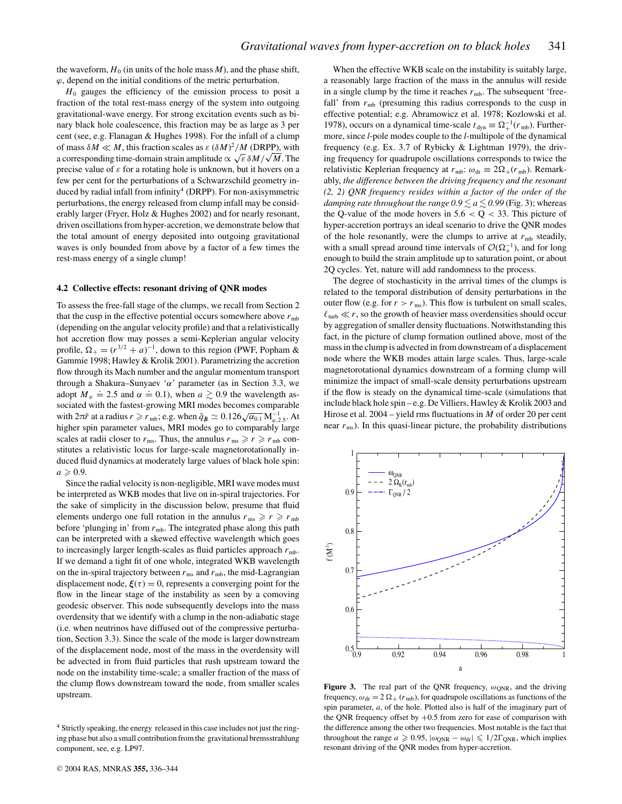the waveform,  $H_0$  (in units of the hole mass  $M$ ), and the phase shift,  $\varphi$ , depend on the initial conditions of the metric perturbation.

*H*<sup>0</sup> gauges the efficiency of the emission process to posit a fraction of the total rest-mass energy of the system into outgoing gravitational-wave energy. For strong excitation events such as binary black hole coalescence, this fraction may be as large as 3 per cent (see, e.g. Flanagan & Hughes 1998). For the infall of a clump of mass  $\delta M \ll M$ , this fraction scales as  $\varepsilon (\delta M)^2 / M$  (DRPP), with a corresponding time-domain strain amplitude  $\propto \sqrt{\varepsilon} \delta M / \sqrt{M}$ . The precise value of  $\varepsilon$  for a rotating hole is unknown, but it hovers on a few per cent for the perturbations of a Schwarzschild geometry induced by radial infall from infinity<sup>4</sup> (DRPP). For non-axisymmetric perturbations, the energy released from clump infall may be considerably larger (Fryer, Holz & Hughes 2002) and for nearly resonant, driven oscillations from hyper-accretion, we demonstrate below that the total amount of energy deposited into outgoing gravitational waves is only bounded from above by a factor of a few times the rest-mass energy of a single clump!

#### **4.2 Collective effects: resonant driving of QNR modes**

To assess the free-fall stage of the clumps, we recall from Section 2 that the cusp in the effective potential occurs somewhere above  $r_{\rm mb}$ (depending on the angular velocity profile) and that a relativistically hot accretion flow may posses a semi-Keplerian angular velocity profile,  $\Omega_+ = (r^{3/2} + a)^{-1}$ , down to this region (PWF, Popham & Gammie 1998; Hawley & Krolik 2001). Parametrizing the accretion flow through its Mach number and the angular momentum transport through a Shakura–Sunyaev ' $\alpha$ ' parameter (as in Section 3.3, we adopt  $M_{\varphi} \doteq 2.5$  and  $\alpha \doteq 0.1$ ), when  $a \gtrsim 0.9$  the wavelength associated with the fastest-growing MRI modes becomes comparable with  $2\pi\tilde{r}$  at a radius  $r \ge r_{\rm mb}$ ; e.g. when  $\hat{q}_B \simeq 0.126 \sqrt{\alpha_{0.1}} \, \text{M}_{\varphi,2.5}^{-1}$ . At higher spin parameter values, MRI modes go to comparably large scales at radii closer to  $r_{\text{ms}}$ . Thus, the annulus  $r_{\text{ms}} \ge r \ge r_{\text{mb}}$  constitutes a relativistic locus for large-scale magnetorotationally induced fluid dynamics at moderately large values of black hole spin:  $a \geqslant 0.9$ .

Since the radial velocity is non-negligible, MRI wave modes must be interpreted as WKB modes that live on in-spiral trajectories. For the sake of simplicity in the discussion below, presume that fluid elements undergo one full rotation in the annulus  $r_{\text{ms}} \ge r \ge r_{\text{mb}}$ before 'plunging in' from  $r_{mb}$ . The integrated phase along this path can be interpreted with a skewed effective wavelength which goes to increasingly larger length-scales as fluid particles approach  $r_{\rm mb}$ . If we demand a tight fit of one whole, integrated WKB wavelength on the in-spiral trajectory between  $r_{\rm ms}$  and  $r_{\rm mb}$ , the mid-Lagrangian displacement node,  $\xi(\tau) = 0$ , represents a converging point for the flow in the linear stage of the instability as seen by a comoving geodesic observer. This node subsequently develops into the mass overdensity that we identify with a clump in the non-adiabatic stage (i.e. when neutrinos have diffused out of the compressive perturbation, Section 3.3). Since the scale of the mode is larger downstream of the displacement node, most of the mass in the overdensity will be advected in from fluid particles that rush upstream toward the node on the instability time-scale; a smaller fraction of the mass of the clump flows downstream toward the node, from smaller scales upstream.

When the effective WKB scale on the instability is suitably large, a reasonably large fraction of the mass in the annulus will reside in a single clump by the time it reaches  $r_{\rm mb}$ . The subsequent 'freefall' from  $r_{\rm mb}$  (presuming this radius corresponds to the cusp in effective potential; e.g. Abramowicz et al. 1978; Kozlowski et al. 1978), occurs on a dynamical time-scale  $t_{\text{dyn}} \equiv \Omega_+^{-1}(r_{\text{mb}})$ . Furthermore, since *l*-pole modes couple to the *l*-multipole of the dynamical frequency (e.g. Ex. 3.7 of Rybicky & Lightman 1979), the driving frequency for quadrupole oscillations corresponds to twice the relativistic Keplerian frequency at  $r_{mb}$ :  $\omega_{dr} \equiv 2\Omega_+(r_{mb})$ . Remarkably, *the difference between the driving frequency and the resonant (2, 2) QNR frequency resides within a factor of the order of the damping rate throughout the range 0.9*  $\lesssim$  *a*  $\lesssim$  *0.99* (Fig. 3); whereas the Q-value of the mode hovers in  $5.6 < Q < 33$ . This picture of hyper-accretion portrays an ideal scenario to drive the QNR modes of the hole resonantly, were the clumps to arrive at  $r_{\rm mb}$  steadily, with a small spread around time intervals of  $\mathcal{O}(\Omega_+^{-1})$ , and for long enough to build the strain amplitude up to saturation point, or about 2Q cycles. Yet, nature will add randomness to the process.

The degree of stochasticity in the arrival times of the clumps is related to the temporal distribution of density perturbations in the outer flow (e.g. for  $r > r_{\text{ms}}$ ). This flow is turbulent on small scales,  $\ell_{\text{turb}} \ll r$ , so the growth of heavier mass overdensities should occur by aggregation of smaller density fluctuations. Notwithstanding this fact, in the picture of clump formation outlined above, most of the mass in the clump is advected in from downstream of a displacement node where the WKB modes attain large scales. Thus, large-scale magnetorotational dynamics downstream of a forming clump will minimize the impact of small-scale density perturbations upstream if the flow is steady on the dynamical time-scale (simulations that include black hole spin – e.g. De Villiers, Hawley & Krolik 2003 and Hirose et al.  $2004 -$  yield rms fluctuations in  $\dot{M}$  of order 20 per cent near  $r_{\text{ms}}$ ). In this quasi-linear picture, the probability distributions



**Figure 3.** The real part of the QNR frequency,  $\omega_{\text{QNR}}$ , and the driving frequency,  $\omega_{dr} = 2 \Omega_{+} (r_{mb})$ , for quadrupole oscillations as functions of the spin parameter, *a*, of the hole. Plotted also is half of the imaginary part of the QNR frequency offset by  $+0.5$  from zero for ease of comparison with the difference among the other two frequencies. Most notable is the fact that throughout the range  $a \ge 0.95$ ,  $|\omega_{\text{QNR}} - \omega_{\text{dr}}| \le 1/2\Gamma_{\text{QNR}}$ , which implies resonant driving of the QNR modes from hyper-accretion.

<sup>4</sup> Strictly speaking, the energy released in this case includes not just the ringing phase but also a small contribution from the gravitational bremsstrahlung component, see, e.g. LP97.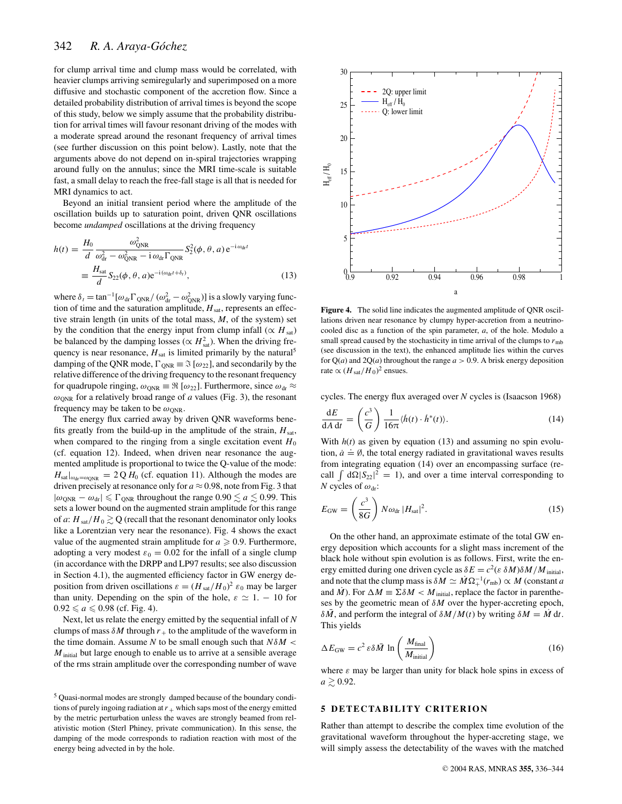for clump arrival time and clump mass would be correlated, with heavier clumps arriving semiregularly and superimposed on a more diffusive and stochastic component of the accretion flow. Since a detailed probability distribution of arrival times is beyond the scope of this study, below we simply assume that the probability distribution for arrival times will favour resonant driving of the modes with a moderate spread around the resonant frequency of arrival times (see further discussion on this point below). Lastly, note that the arguments above do not depend on in-spiral trajectories wrapping around fully on the annulus; since the MRI time-scale is suitable fast, a small delay to reach the free-fall stage is all that is needed for MRI dynamics to act.

Beyond an initial transient period where the amplitude of the oscillation builds up to saturation point, driven QNR oscillations become *undamped* oscillations at the driving frequency

$$
h(t) = \frac{H_0}{d} \frac{\omega_{\text{QNR}}^2}{\omega_{\text{dr}}^2 - \omega_{\text{QNR}}^2 - i \omega_{\text{dr}} \Gamma_{\text{QNR}}} S_2^2(\phi, \theta, a) e^{-i \omega_{\text{dr}}t}
$$

$$
\equiv \frac{H_{\text{sat}}}{d} S_{22}(\phi, \theta, a) e^{-i(\omega_{\text{dr}}t + \delta_t)},
$$
(13)

where  $\delta_t = \tan^{-1} [\omega_{dr} \Gamma_{QNR} / (\omega_{dr}^2 - \omega_{QNR}^2)]$  is a slowly varying function of time and the saturation amplitude,  $H_{\text{sat}}$ , represents an effective strain length (in units of the total mass, *M*, of the system) set by the condition that the energy input from clump infall ( $\propto H_{\text{sat}}$ ) be balanced by the damping losses ( $\propto H_{\text{sat}}^2$ ). When the driving frequency is near resonance,  $H_{\text{sat}}$  is limited primarily by the natural<sup>5</sup> damping of the QNR mode,  $\Gamma_{\text{ONR}} \equiv \Im \left[ \omega_{22} \right]$ , and secondarily by the relative difference of the driving frequency to the resonant frequency for quadrupole ringing,  $\omega_{\text{QNR}} \equiv \Re \left[ \omega_{22} \right]$ . Furthermore, since  $\omega_{\text{dr}} \approx$  $\omega_{\text{ONR}}$  for a relatively broad range of *a* values (Fig. 3), the resonant frequency may be taken to be  $\omega_{\text{ONR}}$ .

The energy flux carried away by driven QNR waveforms benefits greatly from the build-up in the amplitude of the strain,  $H_{\text{sat}}$ , when compared to the ringing from a single excitation event  $H_0$ (cf. equation 12). Indeed, when driven near resonance the augmented amplitude is proportional to twice the Q-value of the mode:  $H_{\text{sat}}|_{\omega_{\text{dr}}=\omega_{\text{QNR}}}$  = 2 Q  $H_0$  (cf. equation 11). Although the modes are driven precisely at resonance only for  $a \approx 0.98$ , note from Fig. 3 that  $|\omega_{\text{QNR}} - \omega_{\text{dr}}| \leq \Gamma_{\text{QNR}}$  throughout the range  $0.90 \lesssim a \lesssim 0.99$ . This sets a lower bound on the augmented strain amplitude for this range of *a*:  $H_{\text{sat}}/H_0 \gtrsim Q$  (recall that the resonant denominator only looks like a Lorentzian very near the resonance). Fig. 4 shows the exact value of the augmented strain amplitude for  $a \ge 0.9$ . Furthermore, adopting a very modest  $\varepsilon_0 = 0.02$  for the infall of a single clump (in accordance with the DRPP and LP97 results; see also discussion in Section 4.1), the augmented efficiency factor in GW energy deposition from driven oscillations  $\varepsilon = (H_{\text{sat}}/H_0)^2 \varepsilon_0$  may be larger than unity. Depending on the spin of the hole,  $\varepsilon \simeq 1$ . – 10 for  $0.92 \le a \le 0.98$  (cf. Fig. 4).

Next, let us relate the energy emitted by the sequential infall of *N* clumps of mass  $\delta M$  through  $r_+$  to the amplitude of the waveform in the time domain. Assume *N* to be small enough such that  $N\delta M <$ *M*<sub>initial</sub> but large enough to enable us to arrive at a sensible average of the rms strain amplitude over the corresponding number of wave



**Figure 4.** The solid line indicates the augmented amplitude of QNR oscillations driven near resonance by clumpy hyper-accretion from a neutrinocooled disc as a function of the spin parameter, *a*, of the hole. Modulo a small spread caused by the stochasticity in time arrival of the clumps to  $r_{\rm mb}$ (see discussion in the text), the enhanced amplitude lies within the curves for  $Q(a)$  and  $2Q(a)$  throughout the range  $a > 0.9$ . A brisk energy deposition rate  $\propto (H_{\text{sat}}/H_0)^2$  ensues.

cycles. The energy flux averaged over *N* cycles is (Isaacson 1968)

$$
\frac{dE}{dA dt} = \left(\frac{c^3}{G}\right) \frac{1}{16\pi} \langle \dot{h}(t) \cdot \dot{h}^*(t) \rangle.
$$
 (14)

With  $h(t)$  as given by equation (13) and assuming no spin evolution,  $\dot{a} \doteq \emptyset$ , the total energy radiated in gravitational waves results from integrating equation (14) over an encompassing surface (recall  $\int d\Omega |S_{22}|^2 = 1$ , and over a time interval corresponding to *N* cycles of  $\omega_{dr}$ :

$$
E_{\rm GW} = \left(\frac{c^3}{8G}\right) N \omega_{\rm dr} |H_{\rm sat}|^2. \tag{15}
$$

On the other hand, an approximate estimate of the total GW energy deposition which accounts for a slight mass increment of the black hole without spin evolution is as follows. First, write the energy emitted during one driven cycle as  $\delta E = c^2 (\varepsilon \, \delta M) \delta M / M_{initial}$ , and note that the clump mass is  $\delta M \simeq M \Omega_+^{-1}(r_{\rm mb}) \propto M$  (constant *a* and  $\dot{M}$ ). For  $\Delta M \equiv \Sigma \delta M < M$ <sub>initial</sub>, replace the factor in parentheses by the geometric mean of δ*M* over the hyper-accreting epoch,  $\delta \bar{M}$ , and perform the integral of  $\delta M/M(t)$  by writing  $\delta M = \dot{M} dt$ . This yields

$$
\Delta E_{\rm GW} = c^2 \,\varepsilon \delta \bar{M} \, \ln \left( \frac{M_{\rm final}}{M_{\rm initial}} \right) \tag{16}
$$

where  $\varepsilon$  may be larger than unity for black hole spins in excess of  $a \gtrsim 0.92$ .

## **5 DETECTABILITY CRITERION**

Rather than attempt to describe the complex time evolution of the gravitational waveform throughout the hyper-accreting stage, we will simply assess the detectability of the waves with the matched

<sup>5</sup> Quasi-normal modes are strongly damped because of the boundary conditions of purely ingoing radiation at  $r_{+}$  which saps most of the energy emitted by the metric perturbation unless the waves are strongly beamed from relativistic motion (Sterl Phiney, private communication). In this sense, the damping of the mode corresponds to radiation reaction with most of the energy being advected in by the hole.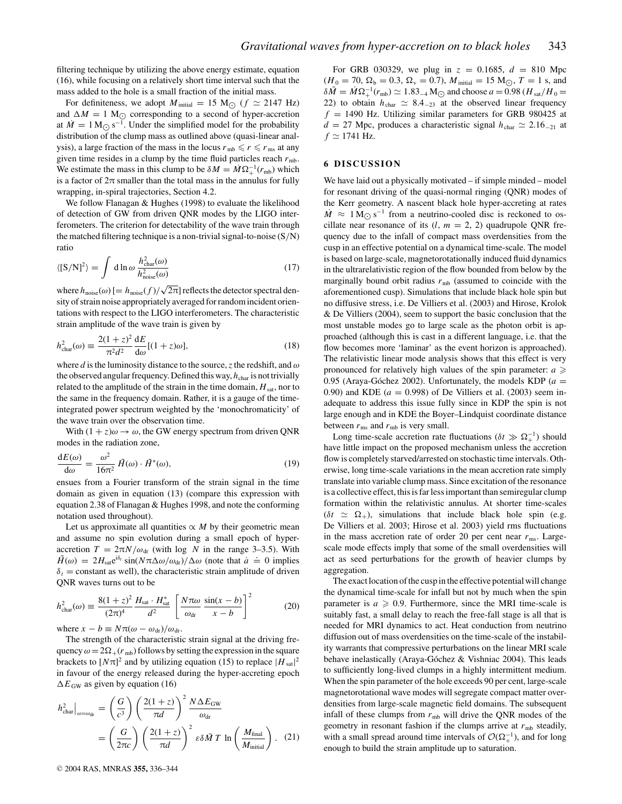filtering technique by utilizing the above energy estimate, equation (16), while focusing on a relatively short time interval such that the mass added to the hole is a small fraction of the initial mass.

For definiteness, we adopt  $M_{initial} = 15 M_{\odot}$  ( $f \approx 2147 Hz$ ) and  $\Delta M = 1$  M<sub> $\odot$ </sub> corresponding to a second of hyper-accretion at  $M = 1 M_{\odot} s^{-1}$ . Under the simplified model for the probability distribution of the clump mass as outlined above (quasi-linear analysis), a large fraction of the mass in the locus  $r_{mb} \le r \le r_{ms}$  at any given time resides in a clump by the time fluid particles reach  $r_{\rm mb}$ . We estimate the mass in this clump to be  $\delta M = M \Omega_{+}^{-1}(r_{\text{mb}})$  which is a factor of  $2\pi$  smaller than the total mass in the annulus for fully wrapping, in-spiral trajectories, Section 4.2.

We follow Flanagan & Hughes (1998) to evaluate the likelihood of detection of GW from driven QNR modes by the LIGO interferometers. The criterion for detectability of the wave train through the matched filtering technique is a non-trivial signal-to-noise (S/N) ratio

$$
\langle \left[ S/N \right]^2 \rangle = \int d \ln \omega \, \frac{h_{\text{char}}^2(\omega)}{h_{\text{noise}}^2(\omega)} \tag{17}
$$

where  $h_{\text{noise}}(\omega)$  [=  $h_{\text{noise}}(f)/\sqrt{2\pi}$ ] reflects the detector spectral density of strain noise appropriately averaged for random incident orientations with respect to the LIGO interferometers. The characteristic strain amplitude of the wave train is given by

$$
h_{\text{char}}^2(\omega) \equiv \frac{2(1+z)^2}{\pi^2 d^2} \frac{\mathrm{d}E}{\mathrm{d}\omega} [(1+z)\omega],\tag{18}
$$

where *d* is the luminosity distance to the source, *z* the redshift, and  $\omega$ the observed angular frequency. Defined this way,  $h_{\text{char}}$  is not trivially related to the amplitude of the strain in the time domain,  $H_{\text{sat}}$ , nor to the same in the frequency domain. Rather, it is a gauge of the timeintegrated power spectrum weighted by the 'monochromaticity' of the wave train over the observation time.

With  $(1 + z)\omega \rightarrow \omega$ , the GW energy spectrum from driven QNR modes in the radiation zone,

$$
\frac{dE(\omega)}{d\omega} = \frac{\omega^2}{16\pi^2} \tilde{H}(\omega) \cdot \tilde{H}^*(\omega),\tag{19}
$$

ensues from a Fourier transform of the strain signal in the time domain as given in equation (13) (compare this expression with equation 2.38 of Flanagan & Hughes 1998, and note the conforming notation used throughout).

Let us approximate all quantities  $\propto M$  by their geometric mean and assume no spin evolution during a small epoch of hyperaccretion  $T = 2\pi N/\omega_{dr}$  (with log *N* in the range 3–3.5). With  $H(\omega) = 2H_{\text{sat}}e^{i\delta t} \sin(N\pi\Delta\omega/\omega_{\text{dr}})/\Delta\omega$  (note that  $\dot{a} \doteq 0$  implies  $\delta_t$  = constant as well), the characteristic strain amplitude of driven QNR waves turns out to be

$$
h_{\text{char}}^2(\omega) \equiv \frac{8(1+z)^2}{(2\pi)^4} \frac{H_{\text{sat}} \cdot H_{\text{sat}}^*}{d^2} \left[ \frac{N\pi\omega}{\omega_{\text{dr}}} \frac{\sin(x-b)}{x-b} \right]^2 \tag{20}
$$

where  $x - b \equiv N \pi (\omega - \omega_{dr})/\omega_{dr}$ .

The strength of the characteristic strain signal at the driving frequency  $\omega = 2\Omega_{+}(r_{\rm mb})$  follows by setting the expression in the square brackets to  $[N\pi]^2$  and by utilizing equation (15) to replace  $|H_{sat}|^2$ in favour of the energy released during the hyper-accreting epoch  $\Delta E$ <sub>GW</sub> as given by equation (16)

$$
h_{\text{char}}^2\big|_{\omega=\omega_{\text{dr}}} = \left(\frac{G}{c^3}\right) \left(\frac{2(1+z)}{\pi d}\right)^2 \frac{N\Delta E_{\text{GW}}}{\omega_{\text{dr}}}
$$

$$
= \left(\frac{G}{2\pi c}\right) \left(\frac{2(1+z)}{\pi d}\right)^2 \varepsilon \delta \bar{M} T \ln \left(\frac{M_{\text{final}}}{M_{\text{initial}}}\right). (21)
$$

For GRB 030329, we plug in  $z = 0.1685$ ,  $d = 810$  Mpc  $(H_0 = 70, \Omega_b = 0.3, \Omega_v = 0.7), M_{initial} = 15 M_{\odot}, T = 1$  s, and  $\delta \bar{M} = \dot{M} \Omega^{-1}_+(r_{\rm mb}) \simeq 1.83_{-4} \,\rm M_{\odot}$  and choose  $a = 0.98 \,(H_{\rm sat}/H_0 = 20)$ 22) to obtain  $h_{\text{char}} \simeq 8.4_{-23}$  at the observed linear frequency  $f = 1490$  Hz. Utilizing similar parameters for GRB 980425 at  $d = 27$  Mpc, produces a characteristic signal  $h_{\text{char}} \simeq 2.16_{-21}$  at  $f \simeq 1741$  Hz.

### **6 DISCUSSION**

We have laid out a physically motivated – if simple minded – model for resonant driving of the quasi-normal ringing (QNR) modes of the Kerr geometry. A nascent black hole hyper-accreting at rates  $\dot{M} \approx 1 \,\mathrm{M}_{\odot} \,\mathrm{s}^{-1}$  from a neutrino-cooled disc is reckoned to oscillate near resonance of its  $(l, m = 2, 2)$  quadrupole QNR frequency due to the infall of compact mass overdensities from the cusp in an effective potential on a dynamical time-scale. The model is based on large-scale, magnetorotationally induced fluid dynamics in the ultrarelativistic region of the flow bounded from below by the marginally bound orbit radius  $r_{\rm mb}$  (assumed to coincide with the aforementioned cusp). Simulations that include black hole spin but no diffusive stress, i.e. De Villiers et al. (2003) and Hirose, Krolok & De Villiers (2004), seem to support the basic conclusion that the most unstable modes go to large scale as the photon orbit is approached (although this is cast in a different language, i.e. that the flow becomes more 'laminar' as the event horizon is approached). The relativistic linear mode analysis shows that this effect is very pronounced for relatively high values of the spin parameter:  $a \geqslant$ 0.95 (Araya-Góchez 2002). Unfortunately, the models KDP  $(a =$ 0.90) and KDE ( $a = 0.998$ ) of De Villiers et al. (2003) seem inadequate to address this issue fully since in KDP the spin is not large enough and in KDE the Boyer–Lindquist coordinate distance between  $r_{\text{ms}}$  and  $r_{\text{mb}}$  is very small.

Long time-scale accretion rate fluctuations ( $\delta t \gg \Omega_+^{-1}$ ) should have little impact on the proposed mechanism unless the accretion flow is completely starved/arrested on stochastic time intervals. Otherwise, long time-scale variations in the mean accretion rate simply translate into variable clump mass. Since excitation of the resonance is a collective effect, this is far less important than semiregular clump formation within the relativistic annulus. At shorter time-scales  $(\delta t \simeq \Omega_+)$ , simulations that include black hole spin (e.g. De Villiers et al. 2003; Hirose et al. 2003) yield rms fluctuations in the mass accretion rate of order 20 per cent near  $r_{\text{ms}}$ . Largescale mode effects imply that some of the small overdensities will act as seed perturbations for the growth of heavier clumps by aggregation.

The exact location of the cusp in the effective potential will change the dynamical time-scale for infall but not by much when the spin parameter is  $a \geqslant 0.9$ . Furthermore, since the MRI time-scale is suitably fast, a small delay to reach the free-fall stage is all that is needed for MRI dynamics to act. Heat conduction from neutrino diffusion out of mass overdensities on the time-scale of the instability warrants that compressive perturbations on the linear MRI scale behave inelastically (Araya-Góchez & Vishniac 2004). This leads to sufficiently long-lived clumps in a highly intermittent medium. When the spin parameter of the hole exceeds 90 per cent, large-scale magnetorotational wave modes will segregate compact matter overdensities from large-scale magnetic field domains. The subsequent infall of these clumps from  $r_{\rm mb}$  will drive the QNR modes of the geometry in resonant fashion if the clumps arrive at *r*mb steadily, with a small spread around time intervals of  $\mathcal{O}(\Omega_+^{-1})$ , and for long enough to build the strain amplitude up to saturation.